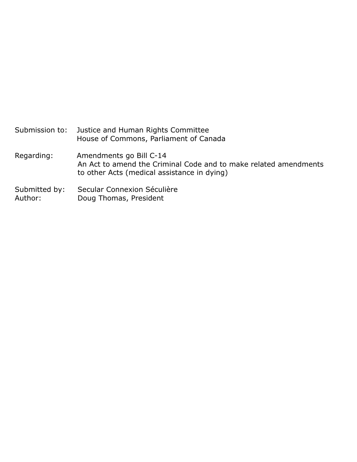Submission to: Justice and Human Rights Committee House of Commons, Parliament of Canada Regarding: Amendments go Bill C-14 An Act to amend the Criminal Code and to make related amendments to other Acts (medical assistance in dying) Submitted by: Secular Connexion Séculière Author: Doug Thomas, President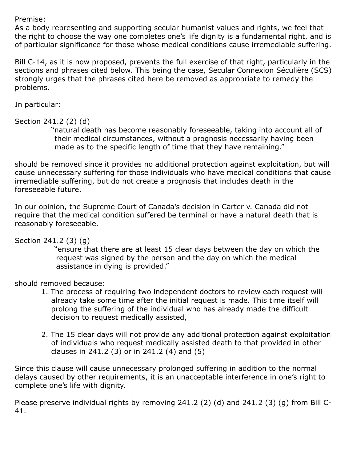Premise:

As a body representing and supporting secular humanist values and rights, we feel that the right to choose the way one completes one's life dignity is a fundamental right, and is of particular significance for those whose medical conditions cause irremediable suffering.

Bill C-14, as it is now proposed, prevents the full exercise of that right, particularly in the sections and phrases cited below. This being the case, Secular Connexion Séculière (SCS) strongly urges that the phrases cited here be removed as appropriate to remedy the problems.

In particular:

## Section 241.2 (2) (d)

"natural death has become reasonably foreseeable, taking into account all of their medical circumstances, without a prognosis necessarily having been made as to the specific length of time that they have remaining."

should be removed since it provides no additional protection against exploitation, but will cause unnecessary suffering for those individuals who have medical conditions that cause irremediable suffering, but do not create a prognosis that includes death in the foreseeable future.

In our opinion, the Supreme Court of Canada's decision in Carter v. Canada did not require that the medical condition suffered be terminal or have a natural death that is reasonably foreseeable.

Section 241.2 (3) (g)

"ensure that there are at least 15 clear days between the day on which the request was signed by the person and the day on which the medical assistance in dying is provided."

should removed because:

- 1. The process of requiring two independent doctors to review each request will already take some time after the initial request is made. This time itself will prolong the suffering of the individual who has already made the difficult decision to request medically assisted,
- 2. The 15 clear days will not provide any additional protection against exploitation of individuals who request medically assisted death to that provided in other clauses in 241.2 (3) or in 241.2 (4) and (5)

Since this clause will cause unnecessary prolonged suffering in addition to the normal delays caused by other requirements, it is an unacceptable interference in one's right to complete one's life with dignity.

Please preserve individual rights by removing 241.2 (2) (d) and 241.2 (3) (g) from Bill C-41.